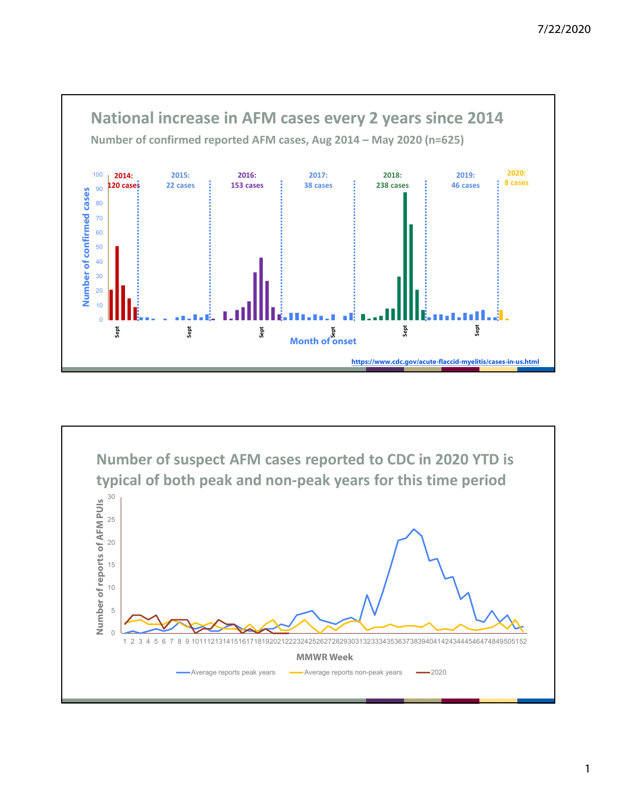